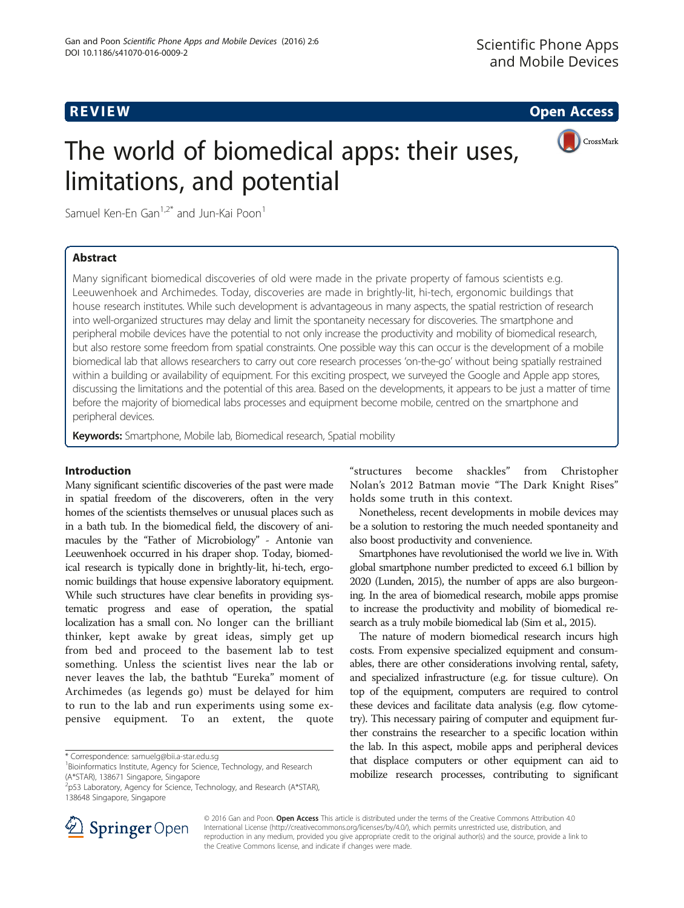**REVIEW CONSTRUCTION CONSTRUCTION CONSTRUCTS** 



# The world of biomedical apps: their uses, limitations, and potential

Samuel Ken-En Gan $1.2$ <sup>\*</sup> and Jun-Kai Poon<sup>1</sup>

## Abstract

Many significant biomedical discoveries of old were made in the private property of famous scientists e.g. Leeuwenhoek and Archimedes. Today, discoveries are made in brightly-lit, hi-tech, ergonomic buildings that house research institutes. While such development is advantageous in many aspects, the spatial restriction of research into well-organized structures may delay and limit the spontaneity necessary for discoveries. The smartphone and peripheral mobile devices have the potential to not only increase the productivity and mobility of biomedical research, but also restore some freedom from spatial constraints. One possible way this can occur is the development of a mobile biomedical lab that allows researchers to carry out core research processes 'on-the-go' without being spatially restrained within a building or availability of equipment. For this exciting prospect, we surveyed the Google and Apple app stores, discussing the limitations and the potential of this area. Based on the developments, it appears to be just a matter of time before the majority of biomedical labs processes and equipment become mobile, centred on the smartphone and peripheral devices.

Keywords: Smartphone, Mobile lab, Biomedical research, Spatial mobility

### Introduction

Many significant scientific discoveries of the past were made in spatial freedom of the discoverers, often in the very homes of the scientists themselves or unusual places such as in a bath tub. In the biomedical field, the discovery of animacules by the "Father of Microbiology" - Antonie van Leeuwenhoek occurred in his draper shop. Today, biomedical research is typically done in brightly-lit, hi-tech, ergonomic buildings that house expensive laboratory equipment. While such structures have clear benefits in providing systematic progress and ease of operation, the spatial localization has a small con. No longer can the brilliant thinker, kept awake by great ideas, simply get up from bed and proceed to the basement lab to test something. Unless the scientist lives near the lab or never leaves the lab, the bathtub "Eureka" moment of Archimedes (as legends go) must be delayed for him to run to the lab and run experiments using some expensive equipment. To an extent, the quote

\* Correspondence: [samuelg@bii.a-star.edu.sg](mailto:samuelg@bii.a-star.edu.sg) <sup>1</sup>

"structures become shackles" from Christopher Nolan's 2012 Batman movie "The Dark Knight Rises" holds some truth in this context.

Nonetheless, recent developments in mobile devices may be a solution to restoring the much needed spontaneity and also boost productivity and convenience.

Smartphones have revolutionised the world we live in. With global smartphone number predicted to exceed 6.1 billion by 2020 (Lunden, [2015](#page-5-0)), the number of apps are also burgeoning. In the area of biomedical research, mobile apps promise to increase the productivity and mobility of biomedical research as a truly mobile biomedical lab (Sim et al., [2015](#page-6-0)).

The nature of modern biomedical research incurs high costs. From expensive specialized equipment and consumables, there are other considerations involving rental, safety, and specialized infrastructure (e.g. for tissue culture). On top of the equipment, computers are required to control these devices and facilitate data analysis (e.g. flow cytometry). This necessary pairing of computer and equipment further constrains the researcher to a specific location within the lab. In this aspect, mobile apps and peripheral devices that displace computers or other equipment can aid to mobilize research processes, contributing to significant



© 2016 Gan and Poon. Open Access This article is distributed under the terms of the Creative Commons Attribution 4.0 International License ([http://creativecommons.org/licenses/by/4.0/\)](http://creativecommons.org/licenses/by/4.0/), which permits unrestricted use, distribution, and reproduction in any medium, provided you give appropriate credit to the original author(s) and the source, provide a link to the Creative Commons license, and indicate if changes were made.

<sup>&</sup>lt;sup>1</sup>Bioinformatics Institute, Agency for Science, Technology, and Research (A\*STAR), 138671 Singapore, Singapore

<sup>2</sup> p53 Laboratory, Agency for Science, Technology, and Research (A\*STAR), 138648 Singapore, Singapore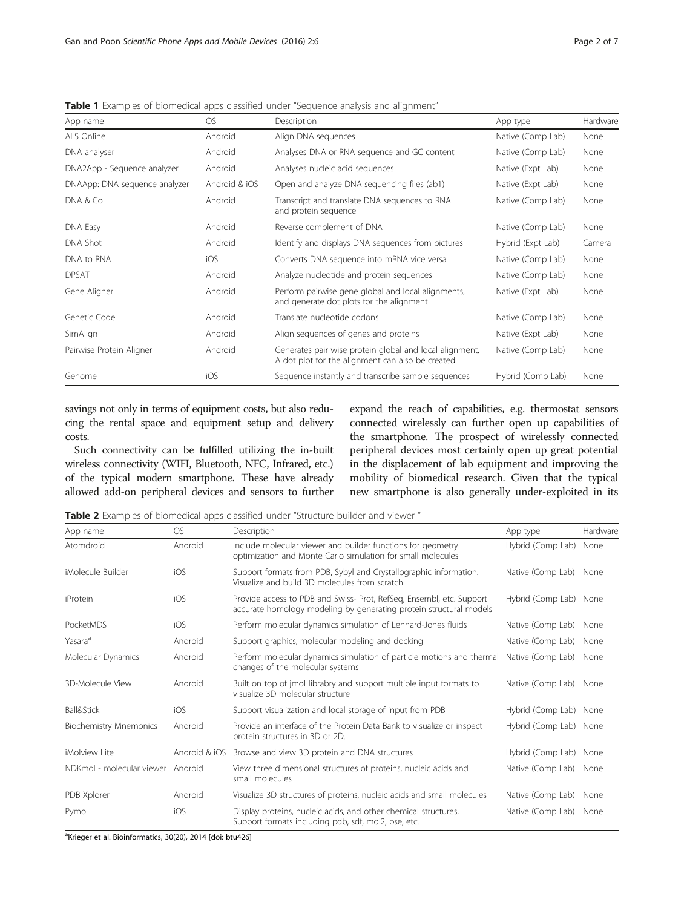<span id="page-1-0"></span>

|  |  |  |  |  |  |  |  | Table 1 Examples of biomedical apps classified under "Sequence analysis and alignment" |
|--|--|--|--|--|--|--|--|----------------------------------------------------------------------------------------|
|--|--|--|--|--|--|--|--|----------------------------------------------------------------------------------------|

| App name                      | OS.           | Description                                                                                                 | App type          | Hardware |
|-------------------------------|---------------|-------------------------------------------------------------------------------------------------------------|-------------------|----------|
| ALS Online                    | Android       | Align DNA sequences                                                                                         | Native (Comp Lab) | None     |
| DNA analyser                  | Android       | Analyses DNA or RNA sequence and GC content                                                                 | Native (Comp Lab) | None     |
| DNA2App - Sequence analyzer   | Android       | Analyses nucleic acid sequences                                                                             | Native (Expt Lab) | None     |
| DNAApp: DNA sequence analyzer | Android & iOS | Open and analyze DNA sequencing files (ab1)                                                                 | Native (Expt Lab) | None     |
| DNA & Co                      | Android       | Transcript and translate DNA sequences to RNA<br>and protein sequence                                       | Native (Comp Lab) | None     |
| DNA Easy                      | Android       | Reverse complement of DNA                                                                                   | Native (Comp Lab) | None     |
| DNA Shot                      | Android       | Identify and displays DNA sequences from pictures                                                           | Hybrid (Expt Lab) | Camera   |
| DNA to RNA                    | iOS           | Converts DNA sequence into mRNA vice versa                                                                  | Native (Comp Lab) | None     |
| <b>DPSAT</b>                  | Android       | Analyze nucleotide and protein sequences                                                                    | Native (Comp Lab) | None     |
| Gene Aligner                  | Android       | Perform pairwise gene global and local alignments,<br>and generate dot plots for the alignment              | Native (Expt Lab) | None     |
| Genetic Code                  | Android       | Translate nucleotide codons                                                                                 | Native (Comp Lab) | None     |
| SimAlign                      | Android       | Align sequences of genes and proteins                                                                       | Native (Expt Lab) | None     |
| Pairwise Protein Aligner      | Android       | Generates pair wise protein global and local alignment.<br>A dot plot for the alignment can also be created | Native (Comp Lab) | None     |
| Genome                        | iOS           | Sequence instantly and transcribe sample sequences                                                          | Hybrid (Comp Lab) | None     |

savings not only in terms of equipment costs, but also reducing the rental space and equipment setup and delivery costs.

Such connectivity can be fulfilled utilizing the in-built wireless connectivity (WIFI, Bluetooth, NFC, Infrared, etc.) of the typical modern smartphone. These have already allowed add-on peripheral devices and sensors to further expand the reach of capabilities, e.g. thermostat sensors connected wirelessly can further open up capabilities of the smartphone. The prospect of wirelessly connected peripheral devices most certainly open up great potential in the displacement of lab equipment and improving the mobility of biomedical research. Given that the typical new smartphone is also generally under-exploited in its

Table 2 Examples of biomedical apps classified under "Structure builder and viewer"

| App name                      | OS            | Description                                                                                                                                | App type               | Hardware |
|-------------------------------|---------------|--------------------------------------------------------------------------------------------------------------------------------------------|------------------------|----------|
| Atomdroid                     | Android       | Include molecular viewer and builder functions for geometry<br>optimization and Monte Carlo simulation for small molecules                 | Hybrid (Comp Lab)      | None     |
| iMolecule Builder             | iOS           | Support formats from PDB, Sybyl and Crystallographic information.<br>Visualize and build 3D molecules from scratch                         | Native (Comp Lab)      | None     |
| iProtein                      | iOS           | Provide access to PDB and Swiss- Prot, RefSeg, Ensembl, etc. Support<br>accurate homology modeling by generating protein structural models | Hybrid (Comp Lab)      | None     |
| PocketMDS                     | iOS           | Perform molecular dynamics simulation of Lennard-Jones fluids                                                                              | Native (Comp Lab)      | None     |
| Yasara <sup>a</sup>           | Android       | Support graphics, molecular modeling and docking                                                                                           | Native (Comp Lab)      | None     |
| Molecular Dynamics            | Android       | Perform molecular dynamics simulation of particle motions and thermal<br>changes of the molecular systems                                  | Native (Comp Lab)      | None     |
| 3D-Molecule View              | Android       | Built on top of jmol librabry and support multiple input formats to<br>visualize 3D molecular structure                                    | Native (Comp Lab)      | None     |
| <b>Ball&amp;Stick</b>         | iOS           | Support visualization and local storage of input from PDB                                                                                  | Hybrid (Comp Lab)      | None     |
| <b>Biochemistry Mnemonics</b> | Android       | Provide an interface of the Protein Data Bank to visualize or inspect<br>protein structures in 3D or 2D.                                   | Hybrid (Comp Lab) None |          |
| iMolview Lite                 | Android & iOS | Browse and view 3D protein and DNA structures                                                                                              | Hybrid (Comp Lab)      | None     |
| NDKmol - molecular viewer     | Android       | View three dimensional structures of proteins, nucleic acids and<br>small molecules                                                        | Native (Comp Lab)      | None     |
| PDB Xplorer                   | Android       | Visualize 3D structures of proteins, nucleic acids and small molecules                                                                     | Native (Comp Lab)      | None     |
| Pymol                         | iOS           | Display proteins, nucleic acids, and other chemical structures,<br>Support formats including pdb, sdf, mol2, pse, etc.                     | Native (Comp Lab)      | None     |

<sup>a</sup>Krieger et al. Bioinformatics, 30(20), 2014 [doi: btu426]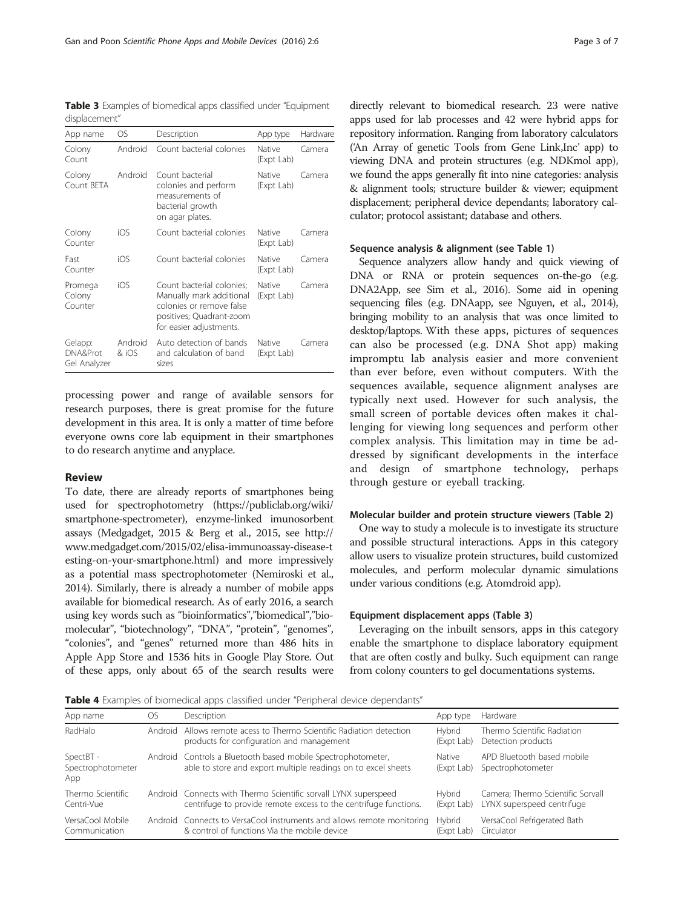<span id="page-2-0"></span>Table 3 Examples of biomedical apps classified under "Equipment displacement"

| App name                            | OS               | Description                                                                                                                              | App type             | Hardware |
|-------------------------------------|------------------|------------------------------------------------------------------------------------------------------------------------------------------|----------------------|----------|
| Colony<br>Count                     | Android          | Count bacterial colonies                                                                                                                 | Native<br>(Expt Lab) | Camera   |
| Colony<br>Count BFTA                | Android          | Count bacterial<br>colonies and perform<br>measurements of<br>bacterial growth<br>on agar plates.                                        | Native<br>(Expt Lab) | Camera   |
| Colony<br>Counter                   | iOS              | Count bacterial colonies                                                                                                                 | Native<br>(Expt Lab) | Camera   |
| Fast<br>Counter                     | iOS              | Count bacterial colonies                                                                                                                 | Native<br>(Expt Lab) | Camera   |
| Promega<br>Colony<br>Counter        | iOS              | Count bacterial colonies:<br>Manually mark additional<br>colonies or remove false<br>positives; Quadrant-zoom<br>for easier adjustments. | Native<br>(Expt Lab) | Camera   |
| Gelapp:<br>DNA&Prot<br>Gel Analyzer | Android<br>& iOS | Auto detection of bands<br>and calculation of band<br>sizes                                                                              | Native<br>(Expt Lab) | Camera   |

processing power and range of available sensors for research purposes, there is great promise for the future development in this area. It is only a matter of time before everyone owns core lab equipment in their smartphones to do research anytime and anyplace.

#### Review

To date, there are already reports of smartphones being used for spectrophotometry ([https://publiclab.org/wiki/](#page-6-0) [smartphone-spectrometer](#page-6-0)), enzyme-linked imunosorbent assays [\(Medgadget, 2015](#page-5-0) & Berg et al., [2015](#page-5-0), see [http://](http://www.medgadget.com/2015/02/elisa-immunoassay-disease-testing-on-your-smartphone.html) [www.medgadget.com/2015/02/elisa-immunoassay-disease-t](http://www.medgadget.com/2015/02/elisa-immunoassay-disease-testing-on-your-smartphone.html) [esting-on-your-smartphone.html\)](http://www.medgadget.com/2015/02/elisa-immunoassay-disease-testing-on-your-smartphone.html) and more impressively as a potential mass spectrophotometer (Nemiroski et al., [2014\)](#page-6-0). Similarly, there is already a number of mobile apps available for biomedical research. As of early 2016, a search using key words such as "bioinformatics","biomedical","biomolecular", "biotechnology", "DNA", "protein", "genomes", "colonies", and "genes" returned more than 486 hits in Apple App Store and 1536 hits in Google Play Store. Out of these apps, only about 65 of the search results were

directly relevant to biomedical research. 23 were native apps used for lab processes and 42 were hybrid apps for repository information. Ranging from laboratory calculators ('[An Array of genetic Tools from Gene Link,Inc](#page-5-0)' app) to viewing DNA and protein structures (e.g. NDKmol app), we found the apps generally fit into nine categories: analysis & alignment tools; structure builder & viewer; equipment displacement; peripheral device dependants; laboratory calculator; protocol assistant; database and others.

#### Sequence analysis & alignment (see Table [1](#page-1-0))

Sequence analyzers allow handy and quick viewing of DNA or RNA or protein sequences on-the-go (e.g. DNA2App, see Sim et al., [2016](#page-6-0)). Some aid in opening sequencing files (e.g. DNAapp, see Nguyen, et al., [2014](#page-6-0)), bringing mobility to an analysis that was once limited to desktop/laptops. With these apps, pictures of sequences can also be processed (e.g. [DNA Shot app\)](#page-5-0) making impromptu lab analysis easier and more convenient than ever before, even without computers. With the sequences available, sequence alignment analyses are typically next used. However for such analysis, the small screen of portable devices often makes it challenging for viewing long sequences and perform other complex analysis. This limitation may in time be addressed by significant developments in the interface and design of smartphone technology, perhaps through gesture or eyeball tracking.

#### Molecular builder and protein structure viewers (Table [2](#page-1-0))

One way to study a molecule is to investigate its structure and possible structural interactions. Apps in this category allow users to visualize protein structures, build customized molecules, and perform molecular dynamic simulations under various conditions (e.g. [Atomdroid app\)](#page-5-0).

#### Equipment displacement apps (Table 3)

Leveraging on the inbuilt sensors, apps in this category enable the smartphone to displace laboratory equipment that are often costly and bulky. Such equipment can range from colony counters to gel documentations systems.

Table 4 Examples of biomedical apps classified under "Peripheral device dependants"

| App name                              | OS      | Description                                                                                                                         | App type                     | Hardware                                                        |
|---------------------------------------|---------|-------------------------------------------------------------------------------------------------------------------------------------|------------------------------|-----------------------------------------------------------------|
| RadHalo                               | Android | Allows remote acess to Thermo Scientific Radiation detection<br>products for configuration and management                           | Hybrid<br>(Expt Lab)         | Thermo Scientific Radiation<br>Detection products               |
| SpectBT -<br>Spectrophotometer<br>App |         | Android Controls a Bluetooth based mobile Spectrophotometer,<br>able to store and export multiple readings on to excel sheets       | Native<br>(Expt Lab)         | APD Bluetooth based mobile<br>Spectrophotometer                 |
| Thermo Scientific<br>Centri-Vue       |         | Android Connects with Thermo Scientific sorvall LYNX superspeed<br>centrifuge to provide remote excess to the centrifuge functions. | <b>H</b> vbrid<br>(Expt Lab) | Camera; Thermo Scientific Sorvall<br>LYNX superspeed centrifuge |
| VersaCool Mobile<br>Communication     |         | Android Connects to VersaCool instruments and allows remote monitoring<br>& control of functions Via the mobile device              | Hybrid<br>(Expt Lab)         | VersaCool Refrigerated Bath<br>Circulator                       |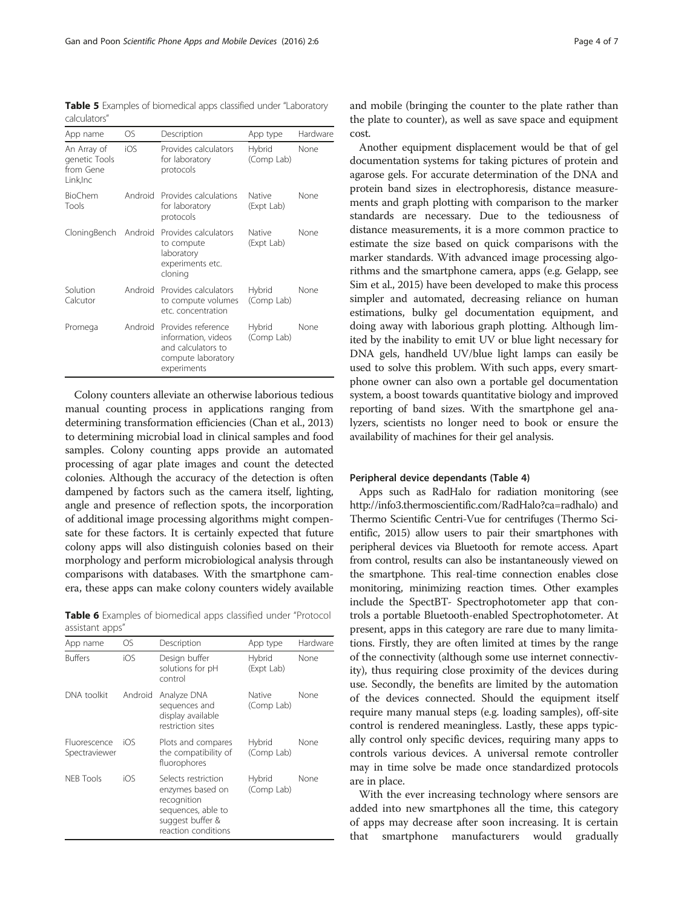<span id="page-3-0"></span>Table 5 Examples of biomedical apps classified under "Laboratory calculators"

| App name                                               | OS      | Description                                                                                          | App type             | Hardware |
|--------------------------------------------------------|---------|------------------------------------------------------------------------------------------------------|----------------------|----------|
| An Array of<br>genetic Tools<br>from Gene<br>Link, Inc | iOS     | Provides calculators<br>for laboratory<br>protocols                                                  | Hybrid<br>(Comp Lab) | None     |
| BioChem<br>Tools                                       | Android | Provides calculations<br>for laboratory<br>protocols                                                 | Native<br>(Expt Lab) | None     |
| CloningBench                                           | Android | Provides calculators<br>to compute<br>laboratory<br>experiments etc.<br>cloning                      | Native<br>(Expt Lab) | None     |
| Solution<br>Calcutor                                   | Android | Provides calculators<br>to compute volumes<br>etc. concentration                                     | Hybrid<br>(Comp Lab) | None     |
| Promega                                                | Android | Provides reference<br>information, videos<br>and calculators to<br>compute laboratory<br>experiments | Hybrid<br>(Comp Lab) | None     |

Colony counters alleviate an otherwise laborious tedious manual counting process in applications ranging from determining transformation efficiencies (Chan et al., [2013](#page-5-0)) to determining microbial load in clinical samples and food samples. Colony counting apps provide an automated processing of agar plate images and count the detected colonies. Although the accuracy of the detection is often dampened by factors such as the camera itself, lighting, angle and presence of reflection spots, the incorporation of additional image processing algorithms might compensate for these factors. It is certainly expected that future colony apps will also distinguish colonies based on their morphology and perform microbiological analysis through comparisons with databases. With the smartphone camera, these apps can make colony counters widely available

Table 6 Examples of biomedical apps classified under "Protocol assistant apps"

| App name                      | OS      | Description                                                                                                             | App type                    | Hardware |
|-------------------------------|---------|-------------------------------------------------------------------------------------------------------------------------|-----------------------------|----------|
| <b>Buffers</b>                | iOS     | Design buffer<br>solutions for pH<br>control                                                                            | Hybrid<br>(Expt Lab)        | None     |
| DNA toolkit                   | Android | Analyze DNA<br>sequences and<br>display available<br>restriction sites                                                  | Native<br>(Comp Lab)        | None     |
| Fluorescence<br>Spectraviewer | iOS     | Plots and compares<br>the compatibility of<br>fluorophores                                                              | <b>Hybrid</b><br>(Comp Lab) | None     |
| <b>NFB</b> Tools              | iOS     | Selects restriction<br>enzymes based on<br>recognition<br>sequences, able to<br>suggest buffer &<br>reaction conditions | Hybrid<br>(Comp Lab)        | None     |

and mobile (bringing the counter to the plate rather than the plate to counter), as well as save space and equipment cost.

Another equipment displacement would be that of gel documentation systems for taking pictures of protein and agarose gels. For accurate determination of the DNA and protein band sizes in electrophoresis, distance measurements and graph plotting with comparison to the marker standards are necessary. Due to the tediousness of distance measurements, it is a more common practice to estimate the size based on quick comparisons with the marker standards. With advanced image processing algorithms and the smartphone camera, apps (e.g. Gelapp, see Sim et al., [2015\)](#page-6-0) have been developed to make this process simpler and automated, decreasing reliance on human estimations, bulky gel documentation equipment, and doing away with laborious graph plotting. Although limited by the inability to emit UV or blue light necessary for DNA gels, handheld UV/blue light lamps can easily be used to solve this problem. With such apps, every smartphone owner can also own a portable gel documentation system, a boost towards quantitative biology and improved reporting of band sizes. With the smartphone gel analyzers, scientists no longer need to book or ensure the availability of machines for their gel analysis.

#### Peripheral device dependants (Table [4\)](#page-2-0)

Apps such as RadHalo for radiation monitoring (see [http://info3.thermoscientific.com/RadHalo?ca=radhalo\)](http://info3.thermoscientific.com/RadHalo?ca=radhalo) and Thermo Scientific Centri-Vue for centrifuges (Thermo Scientific, [2015](#page-6-0)) allow users to pair their smartphones with peripheral devices via Bluetooth for remote access. Apart from control, results can also be instantaneously viewed on the smartphone. This real-time connection enables close monitoring, minimizing reaction times. Other examples include the SpectBT- Spectrophotometer app that controls a portable Bluetooth-enabled Spectrophotometer. At present, apps in this category are rare due to many limitations. Firstly, they are often limited at times by the range of the connectivity (although some use internet connectivity), thus requiring close proximity of the devices during use. Secondly, the benefits are limited by the automation of the devices connected. Should the equipment itself require many manual steps (e.g. loading samples), off-site control is rendered meaningless. Lastly, these apps typically control only specific devices, requiring many apps to controls various devices. A universal remote controller may in time solve be made once standardized protocols are in place.

With the ever increasing technology where sensors are added into new smartphones all the time, this category of apps may decrease after soon increasing. It is certain that smartphone manufacturers would gradually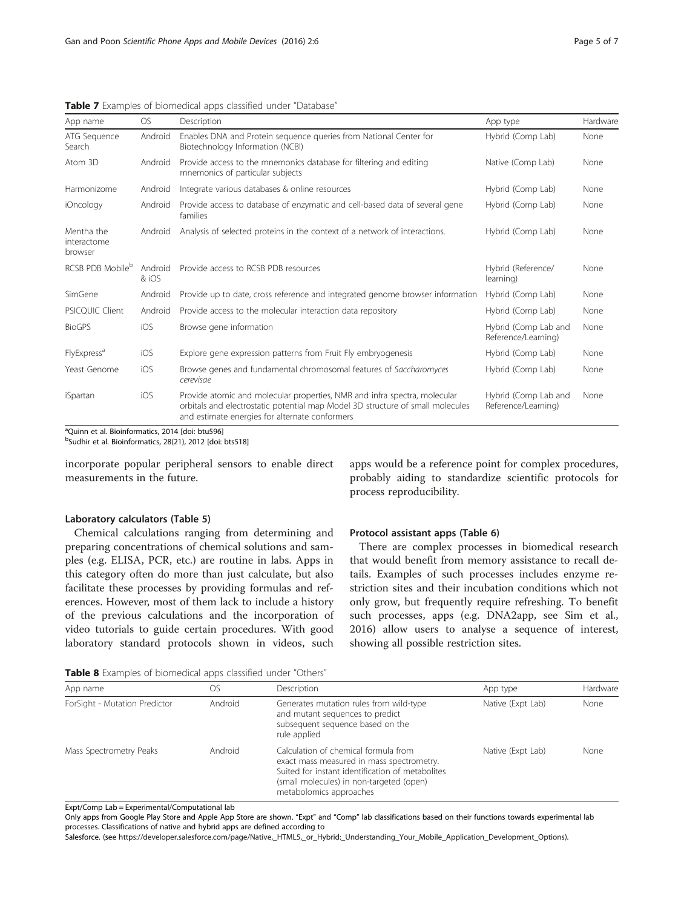| App name                             | <b>OS</b>        | Description                                                                                                                                                                                                   | App type                                    | Hardware |
|--------------------------------------|------------------|---------------------------------------------------------------------------------------------------------------------------------------------------------------------------------------------------------------|---------------------------------------------|----------|
| ATG Sequence<br>Search               | Android          | Enables DNA and Protein sequence queries from National Center for<br>Biotechnology Information (NCBI)                                                                                                         | Hybrid (Comp Lab)                           | None     |
| Atom 3D                              | Android          | Provide access to the mnemonics database for filtering and editing<br>mnemonics of particular subjects                                                                                                        | Native (Comp Lab)                           | None     |
| Harmonizome                          | Android          | Integrate various databases & online resources                                                                                                                                                                | Hybrid (Comp Lab)                           | None     |
| iOncology                            | Android          | Provide access to database of enzymatic and cell-based data of several gene<br>families                                                                                                                       | Hybrid (Comp Lab)                           | None     |
| Mentha the<br>interactome<br>browser | Android          | Analysis of selected proteins in the context of a network of interactions.                                                                                                                                    | Hybrid (Comp Lab)                           | None     |
| RCSB PDB Mobile <sup>b</sup>         | Android<br>& iOS | Provide access to RCSB PDB resources                                                                                                                                                                          | Hybrid (Reference/<br>learning)             | None     |
| SimGene                              | Android          | Provide up to date, cross reference and integrated genome browser information                                                                                                                                 | Hybrid (Comp Lab)                           | None     |
| PSICQUIC Client                      | Android          | Provide access to the molecular interaction data repository                                                                                                                                                   | Hybrid (Comp Lab)                           | None     |
| <b>BioGPS</b>                        | iOS              | Browse gene information                                                                                                                                                                                       | Hybrid (Comp Lab and<br>Reference/Learning) | None     |
| FlyExpress <sup>a</sup>              | iOS              | Explore gene expression patterns from Fruit Fly embryogenesis                                                                                                                                                 | Hybrid (Comp Lab)                           | None     |
| Yeast Genome                         | iOS              | Browse genes and fundamental chromosomal features of Saccharomyces<br>cerevisae                                                                                                                               | Hybrid (Comp Lab)                           | None     |
| iSpartan                             | iOS              | Provide atomic and molecular properties, NMR and infra spectra, molecular<br>orbitals and electrostatic potential map Model 3D structure of small molecules<br>and estimate energies for alternate conformers | Hybrid (Comp Lab and<br>Reference/Learning) | None     |

<span id="page-4-0"></span>Table 7 Examples of biomedical apps classified under "Database"

Quinn et al. Bioinformatics, 2014 [doi: btu596] <sup>b</sup>

<sup>b</sup>Sudhir et al. Bioinformatics, 28(21), 2012 [doi: bts518]

incorporate popular peripheral sensors to enable direct measurements in the future.

#### Laboratory calculators (Table [5\)](#page-3-0)

Chemical calculations ranging from determining and preparing concentrations of chemical solutions and samples (e.g. ELISA, PCR, etc.) are routine in labs. Apps in this category often do more than just calculate, but also facilitate these processes by providing formulas and references. However, most of them lack to include a history of the previous calculations and the incorporation of video tutorials to guide certain procedures. With good laboratory standard protocols shown in videos, such

apps would be a reference point for complex procedures, probably aiding to standardize scientific protocols for process reproducibility.

#### Protocol assistant apps (Table [6](#page-3-0))

There are complex processes in biomedical research that would benefit from memory assistance to recall details. Examples of such processes includes enzyme restriction sites and their incubation conditions which not only grow, but frequently require refreshing. To benefit such processes, apps (e.g. DNA2app, see Sim et al., [2016](#page-6-0)) allow users to analyse a sequence of interest, showing all possible restriction sites.

Table 8 Examples of biomedical apps classified under "Others"

| App name                      | OS      | Description                                                                                                                                                                                                  | App type          | Hardware |
|-------------------------------|---------|--------------------------------------------------------------------------------------------------------------------------------------------------------------------------------------------------------------|-------------------|----------|
| ForSight - Mutation Predictor | Android | Generates mutation rules from wild-type<br>and mutant sequences to predict<br>subsequent sequence based on the<br>rule applied                                                                               | Native (Expt Lab) | None     |
| Mass Spectrometry Peaks       | Android | Calculation of chemical formula from<br>exact mass measured in mass spectrometry.<br>Suited for instant identification of metabolites<br>(small molecules) in non-targeted (open)<br>metabolomics approaches | Native (Expt Lab) | None     |

Expt/Comp Lab = Experimental/Computational lab

Only apps from Google Play Store and Apple App Store are shown. "Expt" and "Comp" lab classifications based on their functions towards experimental lab processes. Classifications of native and hybrid apps are defined according to

Salesforce. (see [https://developer.salesforce.com/page/Native,\\_HTML5,\\_or\\_Hybrid:\\_Understanding\\_Your\\_Mobile\\_Application\\_Development\\_Options\)](https://developer.salesforce.com/page/Native,_HTML5,_or_Hybrid:_Understanding_Your_Mobile_Application_Development_Options).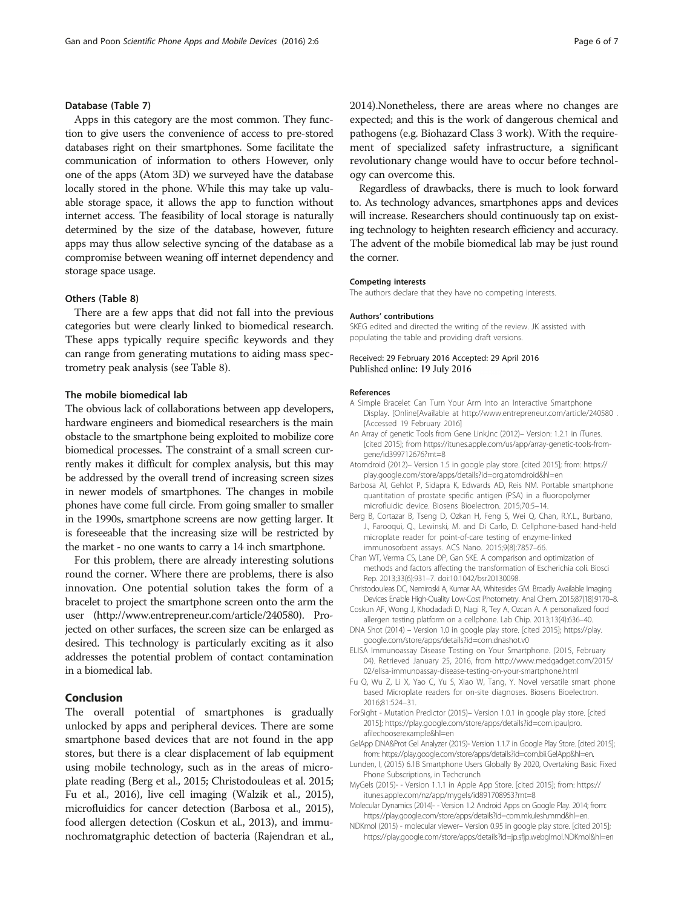#### <span id="page-5-0"></span>Database (Table [7\)](#page-4-0)

Apps in this category are the most common. They function to give users the convenience of access to pre-stored databases right on their smartphones. Some facilitate the communication of information to others However, only one of the apps (Atom 3D) we surveyed have the database locally stored in the phone. While this may take up valuable storage space, it allows the app to function without internet access. The feasibility of local storage is naturally determined by the size of the database, however, future apps may thus allow selective syncing of the database as a compromise between weaning off internet dependency and storage space usage.

#### Others (Table [8](#page-4-0))

There are a few apps that did not fall into the previous categories but were clearly linked to biomedical research. These apps typically require specific keywords and they can range from generating mutations to aiding mass spectrometry peak analysis (see Table [8](#page-4-0)).

#### The mobile biomedical lab

The obvious lack of collaborations between app developers, hardware engineers and biomedical researchers is the main obstacle to the smartphone being exploited to mobilize core biomedical processes. The constraint of a small screen currently makes it difficult for complex analysis, but this may be addressed by the overall trend of increasing screen sizes in newer models of smartphones. The changes in mobile phones have come full circle. From going smaller to smaller in the 1990s, smartphone screens are now getting larger. It is foreseeable that the increasing size will be restricted by the market - no one wants to carry a 14 inch smartphone.

For this problem, there are already interesting solutions round the corner. Where there are problems, there is also innovation. One potential solution takes the form of a bracelet to project the smartphone screen onto the arm the user (http://www.entrepreneur.com/article/240580). Projected on other surfaces, the screen size can be enlarged as desired. This technology is particularly exciting as it also addresses the potential problem of contact contamination in a biomedical lab.

#### Conclusion

The overall potential of smartphones is gradually unlocked by apps and peripheral devices. There are some smartphone based devices that are not found in the app stores, but there is a clear displacement of lab equipment using mobile technology, such as in the areas of microplate reading (Berg et al., 2015; Christodouleas et al. 2015; Fu et al., 2016), live cell imaging (Walzik et al., [2015](#page-6-0)), microfluidics for cancer detection (Barbosa et al., 2015), food allergen detection (Coskun et al., 2013), and immunochromatgraphic detection of bacteria (Rajendran et al., [2014\)](#page-6-0).Nonetheless, there are areas where no changes are expected; and this is the work of dangerous chemical and pathogens (e.g. Biohazard Class 3 work). With the requirement of specialized safety infrastructure, a significant revolutionary change would have to occur before technology can overcome this.

Regardless of drawbacks, there is much to look forward to. As technology advances, smartphones apps and devices will increase. Researchers should continuously tap on existing technology to heighten research efficiency and accuracy. The advent of the mobile biomedical lab may be just round the corner.

#### Competing interests

The authors declare that they have no competing interests.

#### Authors' contributions

SKEG edited and directed the writing of the review. JK assisted with populating the table and providing draft versions.

#### Received: 29 February 2016 Accepted: 29 April 2016 Published online: 19 July 2016

#### References

- A Simple Bracelet Can Turn Your Arm Into an Interactive Smartphone Display. [Online[Available at<http://www.entrepreneur.com/article/240580> . [Accessed 19 February 2016]
- An Array of genetic Tools from Gene Link,Inc (2012)– Version: 1.2.1 in iTunes. [cited 2015]; from [https://itunes.apple.com/us/app/array-genetic-tools-from](https://itunes.apple.com/us/app/array-genetic-tools-from-gene/id399712676?mt=8)[gene/id399712676?mt=8](https://itunes.apple.com/us/app/array-genetic-tools-from-gene/id399712676?mt=8)
- Atomdroid (2012)– Version 1.5 in google play store. [cited 2015]; from: [https://](https://play.google.com/store/apps/details?id=org.atomdroid&hl=en) [play.google.com/store/apps/details?id=org.atomdroid&hl=en](https://play.google.com/store/apps/details?id=org.atomdroid&hl=en)
- Barbosa AI, Gehlot P, Sidapra K, Edwards AD, Reis NM. Portable smartphone quantitation of prostate specific antigen (PSA) in a fluoropolymer microfluidic device. Biosens Bioelectron. 2015;70:5–14.
- Berg B, Cortazar B, Tseng D, Ozkan H, Feng S, Wei Q, Chan, R.Y.L., Burbano, J., Farooqui, Q., Lewinski, M. and Di Carlo, D. Cellphone-based hand-held microplate reader for point-of-care testing of enzyme-linked immunosorbent assays. ACS Nano. 2015;9(8):7857–66.
- Chan WT, Verma CS, Lane DP, Gan SKE. A comparison and optimization of methods and factors affecting the transformation of Escherichia coli. Biosci Rep. 2013;33(6):931–7. doi:[10.1042/bsr20130098.](http://dx.doi.org/10.1042/bsr20130098)
- Christodouleas DC, Nemiroski A, Kumar AA, Whitesides GM. Broadly Available Imaging Devices Enable High-Quality Low-Cost Photometry. Anal Chem. 2015;87(18):9170–8.
- Coskun AF, Wong J, Khodadadi D, Nagi R, Tey A, Ozcan A. A personalized food allergen testing platform on a cellphone. Lab Chip. 2013;13(4):636–40.
- DNA Shot (2014) Version 1.0 in google play store. [cited 2015]; [https://play.](https://play.google.com/store/apps/details?id=com.dnashot.v0) [google.com/store/apps/details?id=com.dnashot.v0](https://play.google.com/store/apps/details?id=com.dnashot.v0)
- ELISA Immunoassay Disease Testing on Your Smartphone. (2015, February 04). Retrieved January 25, 2016, from [http://www.medgadget.com/2015/](http://www.medgadget.com/2015/02/elisa-immunoassay-disease-testing-on-your-smartphone.html) [02/elisa-immunoassay-disease-testing-on-your-smartphone.html](http://www.medgadget.com/2015/02/elisa-immunoassay-disease-testing-on-your-smartphone.html)
- Fu Q, Wu Z, Li X, Yao C, Yu S, Xiao W, Tang, Y. Novel versatile smart phone based Microplate readers for on-site diagnoses. Biosens Bioelectron. 2016;81:524–31.
- ForSight Mutation Predictor (2015)– Version 1.0.1 in google play store. [cited 2015]; [https://play.google.com/store/apps/details?id=com.ipaulpro.](https://play.google.com/store/apps/details?id=com.ipaulpro.afilechooserexample&hl=en) [afilechooserexample&hl=en](https://play.google.com/store/apps/details?id=com.ipaulpro.afilechooserexample&hl=en)
- GelApp DNA&Prot Gel Analyzer (2015)- Version 1.1.7 in Google Play Store. [cited 2015]; from:<https://play.google.com/store/apps/details?id=com.bii.GelApp&hl=en>.
- Lunden, I, (2015) 6.1B Smartphone Users Globally By 2020, Overtaking Basic Fixed Phone Subscriptions, in Techcrunch
- MyGels (2015)- Version 1.1.1 in Apple App Store. [cited 2015]; from: [https://](https://itunes.apple.com/nz/app/mygels/id891708953?mt=8) [itunes.apple.com/nz/app/mygels/id891708953?mt=8](https://itunes.apple.com/nz/app/mygels/id891708953?mt=8)
- Molecular Dynamics (2014)- Version 1.2 Android Apps on Google Play. 2014; from: [https://play.google.com/store/apps/details?id=com.mkulesh.mmd&hl=en.](https://play.google.com/store/apps/details?id=com.mkulesh.mmd&hl=en)
- NDKmol (2015) molecular viewer– Version 0.95 in google play store. [cited 2015]; <https://play.google.com/store/apps/details?id=jp.sfjp.webglmol.NDKmol&hl=en>